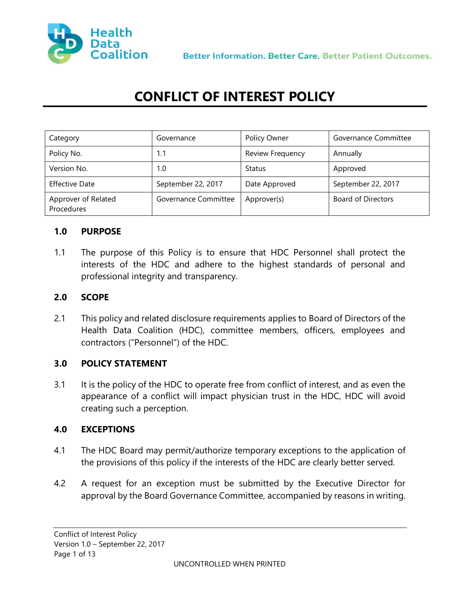

# **CONFLICT OF INTEREST POLICY**

| ategory.<br>                      | Governance<br>                     | <b>Policy Owner</b>     | Governance Committee |
|-----------------------------------|------------------------------------|-------------------------|----------------------|
| Policy No.                        |                                    | <b>Review Frequency</b> | Annually             |
| Version No.                       |                                    | Status                  | Approved             |
| <b>Effective Date</b>             | September 22, 2017                 | Date Approved           | September 22, 2017   |
| Approver of Related<br>Procedures | Governance Committee   Approver(s) |                         | Board of Directors   |

#### **1.0 PURPOSE**

1.1 The purpose of this Policy is to ensure that HDC Personnel shall protect the interests of the HDC and adhere to the highest standards of personal and professional integrity and transparency.

#### **2.0 SCOPE**

2.1 This policy and related disclosure requirements applies to Board of Directors of the Health Data Coalition (HDC), committee members, officers, employees and contractors ("Personnel") of the HDC.

#### **3.0 POLICY STATEMENT**

3.1 It is the policy of the HDC to operate free from conflict of interest, and as even the appearance of a conflict will impact physician trust in the HDC, HDC will avoid creating such a perception.

#### **4.0 EXCEPTIONS**

- 4.1 The HDC Board may permit/authorize temporary exceptions to the application of the provisions of this policy if the interests of the HDC are clearly better served.
- 4.2 A request for an exception must be submitted by the Executive Director for approval by the Board Governance Committee, accompanied by reasons in writing.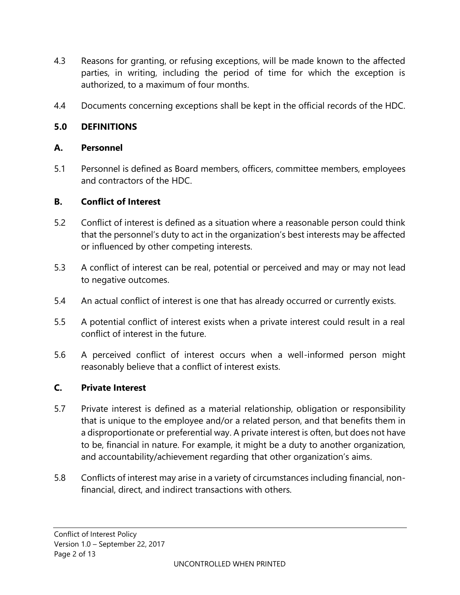- 4.3 Reasons for granting, or refusing exceptions, will be made known to the affected parties, in writing, including the period of time for which the exception is authorized, to a maximum of four months.
- 4.4 Documents concerning exceptions shall be kept in the official records of the HDC.

## **5.0 DEFINITIONS**

#### **A. Personnel**

5.1 Personnel is defined as Board members, officers, committee members, employees and contractors of the HDC.

#### **B. Conflict of Interest**

- 5.2 Conflict of interest is defined as a situation where a reasonable person could think that the personnel's duty to act in the organization's best interests may be affected or influenced by other competing interests.
- 5.3 A conflict of interest can be real, potential or perceived and may or may not lead to negative outcomes.
- 5.4 An actual conflict of interest is one that has already occurred or currently exists.
- 5.5 A potential conflict of interest exists when a private interest could result in a real conflict of interest in the future.
- 5.6 A perceived conflict of interest occurs when a well-informed person might reasonably believe that a conflict of interest exists.

#### **C. Private Interest**

- 5.7 Private interest is defined as a material relationship, obligation or responsibility that is unique to the employee and/or a related person, and that benefits them in a disproportionate or preferential way. A private interest is often, but does not have to be, financial in nature. For example, it might be a duty to another organization, and accountability/achievement regarding that other organization's aims.
- 5.8 Conflicts of interest may arise in a variety of circumstances including financial, nonfinancial, direct, and indirect transactions with others.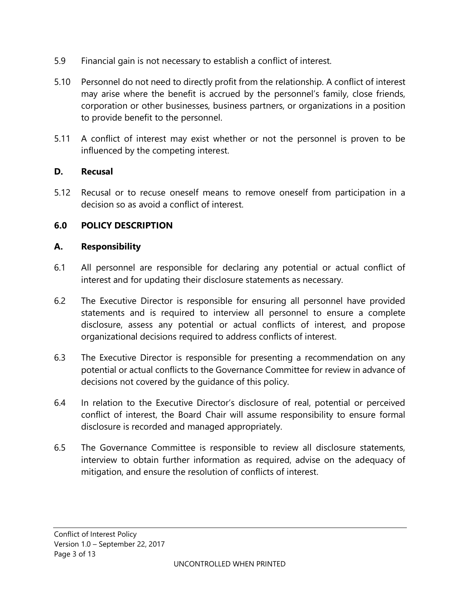- 5.9 Financial gain is not necessary to establish a conflict of interest.
- 5.10 Personnel do not need to directly profit from the relationship. A conflict of interest may arise where the benefit is accrued by the personnel's family, close friends, corporation or other businesses, business partners, or organizations in a position to provide benefit to the personnel.
- 5.11 A conflict of interest may exist whether or not the personnel is proven to be influenced by the competing interest.

## **D. Recusal**

5.12 Recusal or to recuse oneself means to remove oneself from participation in a decision so as avoid a conflict of interest.

## **6.0 POLICY DESCRIPTION**

#### **A. Responsibility**

- 6.1 All personnel are responsible for declaring any potential or actual conflict of interest and for updating their disclosure statements as necessary.
- 6.2 The Executive Director is responsible for ensuring all personnel have provided statements and is required to interview all personnel to ensure a complete disclosure, assess any potential or actual conflicts of interest, and propose organizational decisions required to address conflicts of interest.
- 6.3 The Executive Director is responsible for presenting a recommendation on any potential or actual conflicts to the Governance Committee for review in advance of decisions not covered by the guidance of this policy.
- 6.4 In relation to the Executive Director's disclosure of real, potential or perceived conflict of interest, the Board Chair will assume responsibility to ensure formal disclosure is recorded and managed appropriately.
- 6.5 The Governance Committee is responsible to review all disclosure statements, interview to obtain further information as required, advise on the adequacy of mitigation, and ensure the resolution of conflicts of interest.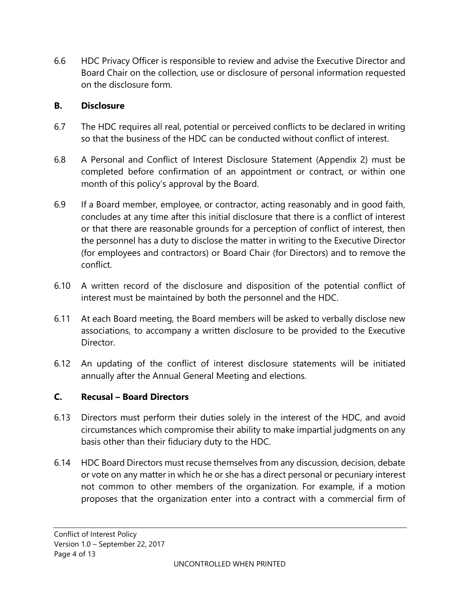6.6 HDC Privacy Officer is responsible to review and advise the Executive Director and Board Chair on the collection, use or disclosure of personal information requested on the disclosure form.

## **B. Disclosure**

- 6.7 The HDC requires all real, potential or perceived conflicts to be declared in writing so that the business of the HDC can be conducted without conflict of interest.
- 6.8 A Personal and Conflict of Interest Disclosure Statement (Appendix 2) must be completed before confirmation of an appointment or contract, or within one month of this policy's approval by the Board.
- 6.9 If a Board member, employee, or contractor, acting reasonably and in good faith, concludes at any time after this initial disclosure that there is a conflict of interest or that there are reasonable grounds for a perception of conflict of interest, then the personnel has a duty to disclose the matter in writing to the Executive Director (for employees and contractors) or Board Chair (for Directors) and to remove the conflict.
- 6.10 A written record of the disclosure and disposition of the potential conflict of interest must be maintained by both the personnel and the HDC.
- 6.11 At each Board meeting, the Board members will be asked to verbally disclose new associations, to accompany a written disclosure to be provided to the Executive Director.
- 6.12 An updating of the conflict of interest disclosure statements will be initiated annually after the Annual General Meeting and elections.

# **C. Recusal – Board Directors**

- 6.13 Directors must perform their duties solely in the interest of the HDC, and avoid circumstances which compromise their ability to make impartial judgments on any basis other than their fiduciary duty to the HDC.
- 6.14 HDC Board Directors must recuse themselves from any discussion, decision, debate or vote on any matter in which he or she has a direct personal or pecuniary interest not common to other members of the organization. For example, if a motion proposes that the organization enter into a contract with a commercial firm of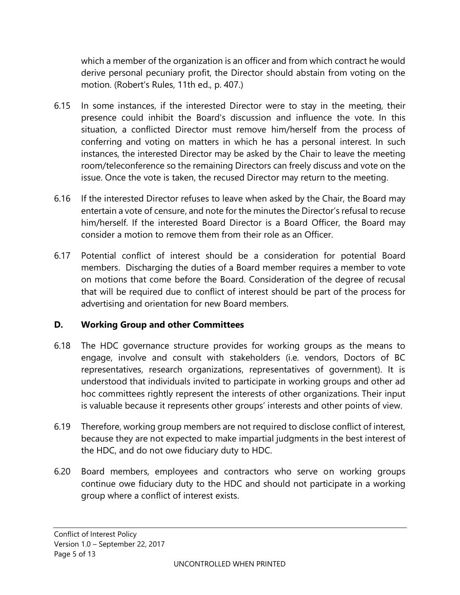which a member of the organization is an officer and from which contract he would derive personal pecuniary profit, the Director should abstain from voting on the motion. (Robert's Rules, 11th ed., p. 407.)

- 6.15 In some instances, if the interested Director were to stay in the meeting, their presence could inhibit the Board's discussion and influence the vote. In this situation, a conflicted Director must remove him/herself from the process of conferring and voting on matters in which he has a personal interest. In such instances, the interested Director may be asked by the Chair to leave the meeting room/teleconference so the remaining Directors can freely discuss and vote on the issue. Once the vote is taken, the recused Director may return to the meeting.
- 6.16 If the interested Director refuses to leave when asked by the Chair, the Board may entertain a vote of censure, and note for the minutes the Director's refusal to recuse him/herself. If the interested Board Director is a Board Officer, the Board may consider a motion to remove them from their role as an Officer.
- 6.17 Potential conflict of interest should be a consideration for potential Board members. Discharging the duties of a Board member requires a member to vote on motions that come before the Board. Consideration of the degree of recusal that will be required due to conflict of interest should be part of the process for advertising and orientation for new Board members.

# **D. Working Group and other Committees**

- 6.18 The HDC governance structure provides for working groups as the means to engage, involve and consult with stakeholders (i.e. vendors, Doctors of BC representatives, research organizations, representatives of government). It is understood that individuals invited to participate in working groups and other ad hoc committees rightly represent the interests of other organizations. Their input is valuable because it represents other groups' interests and other points of view.
- 6.19 Therefore, working group members are not required to disclose conflict of interest, because they are not expected to make impartial judgments in the best interest of the HDC, and do not owe fiduciary duty to HDC.
- 6.20 Board members, employees and contractors who serve on working groups continue owe fiduciary duty to the HDC and should not participate in a working group where a conflict of interest exists.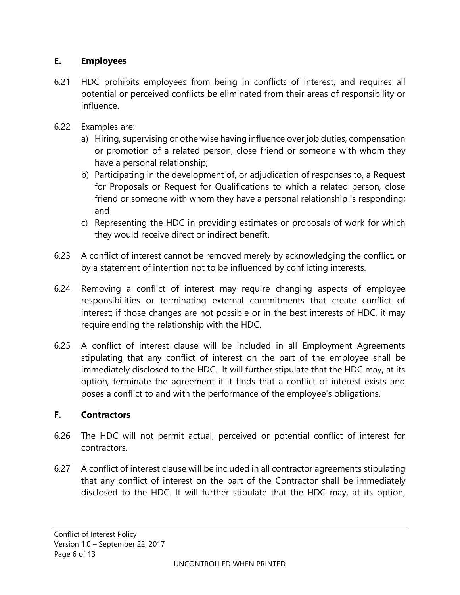# **E. Employees**

- 6.21 HDC prohibits employees from being in conflicts of interest, and requires all potential or perceived conflicts be eliminated from their areas of responsibility or influence.
- 6.22 Examples are:
	- a) Hiring, supervising or otherwise having influence over job duties, compensation or promotion of a related person, close friend or someone with whom they have a personal relationship;
	- b) Participating in the development of, or adjudication of responses to, a Request for Proposals or Request for Qualifications to which a related person, close friend or someone with whom they have a personal relationship is responding; and
	- c) Representing the HDC in providing estimates or proposals of work for which they would receive direct or indirect benefit.
- 6.23 A conflict of interest cannot be removed merely by acknowledging the conflict, or by a statement of intention not to be influenced by conflicting interests.
- 6.24 Removing a conflict of interest may require changing aspects of employee responsibilities or terminating external commitments that create conflict of interest; if those changes are not possible or in the best interests of HDC, it may require ending the relationship with the HDC.
- 6.25 A conflict of interest clause will be included in all Employment Agreements stipulating that any conflict of interest on the part of the employee shall be immediately disclosed to the HDC. It will further stipulate that the HDC may, at its option, terminate the agreement if it finds that a conflict of interest exists and poses a conflict to and with the performance of the employee's obligations.

#### **F. Contractors**

- 6.26 The HDC will not permit actual, perceived or potential conflict of interest for contractors.
- 6.27 A conflict of interest clause will be included in all contractor agreements stipulating that any conflict of interest on the part of the Contractor shall be immediately disclosed to the HDC. It will further stipulate that the HDC may, at its option,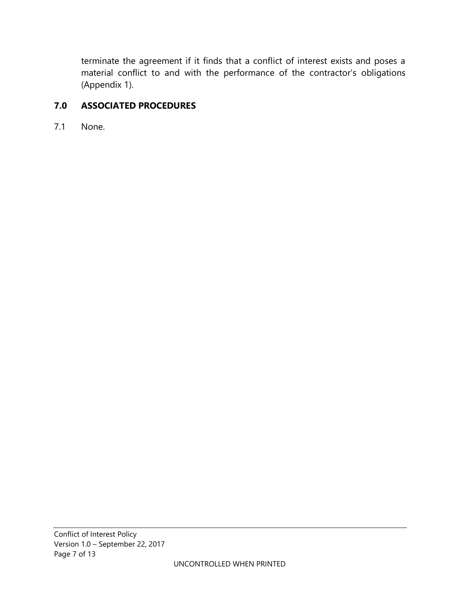terminate the agreement if it finds that a conflict of interest exists and poses a material conflict to and with the performance of the contractor's obligations (Appendix 1).

## **7.0 ASSOCIATED PROCEDURES**

7.1 None.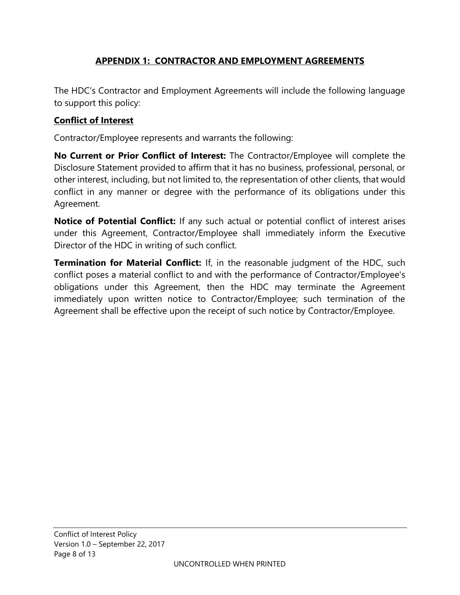# **APPENDIX 1: CONTRACTOR AND EMPLOYMENT AGREEMENTS**

The HDC's Contractor and Employment Agreements will include the following language to support this policy:

#### **Conflict of Interest**

Contractor/Employee represents and warrants the following:

**No Current or Prior Conflict of Interest:** The Contractor/Employee will complete the Disclosure Statement provided to affirm that it has no business, professional, personal, or other interest, including, but not limited to, the representation of other clients, that would conflict in any manner or degree with the performance of its obligations under this Agreement.

**Notice of Potential Conflict:** If any such actual or potential conflict of interest arises under this Agreement, Contractor/Employee shall immediately inform the Executive Director of the HDC in writing of such conflict.

**Termination for Material Conflict:** If, in the reasonable judgment of the HDC, such conflict poses a material conflict to and with the performance of Contractor/Employee's obligations under this Agreement, then the HDC may terminate the Agreement immediately upon written notice to Contractor/Employee; such termination of the Agreement shall be effective upon the receipt of such notice by Contractor/Employee.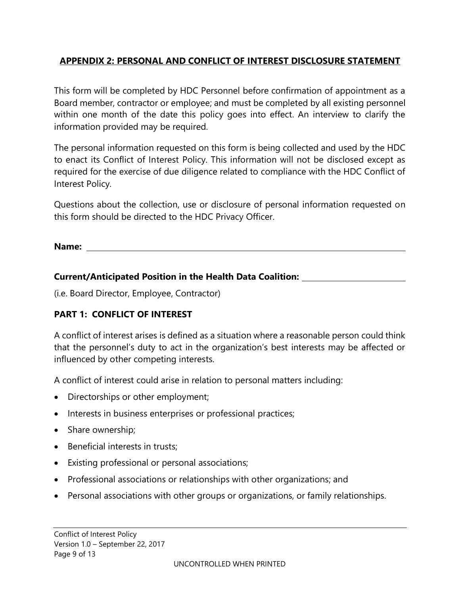# **APPENDIX 2: PERSONAL AND CONFLICT OF INTEREST DISCLOSURE STATEMENT**

This form will be completed by HDC Personnel before confirmation of appointment as a Board member, contractor or employee; and must be completed by all existing personnel within one month of the date this policy goes into effect. An interview to clarify the information provided may be required.

The personal information requested on this form is being collected and used by the HDC to enact its Conflict of Interest Policy. This information will not be disclosed except as required for the exercise of due diligence related to compliance with the HDC Conflict of Interest Policy.

Questions about the collection, use or disclosure of personal information requested on this form should be directed to the HDC Privacy Officer.

**Name:** 

#### **Current/Anticipated Position in the Health Data Coalition:**

(i.e. Board Director, Employee, Contractor)

# **PART 1: CONFLICT OF INTEREST**

A conflict of interest arises is defined as a situation where a reasonable person could think that the personnel's duty to act in the organization's best interests may be affected or influenced by other competing interests.

A conflict of interest could arise in relation to personal matters including:

- Directorships or other employment;
- Interests in business enterprises or professional practices;
- Share ownership;
- Beneficial interests in trusts;
- Existing professional or personal associations;
- Professional associations or relationships with other organizations; and
- Personal associations with other groups or organizations, or family relationships.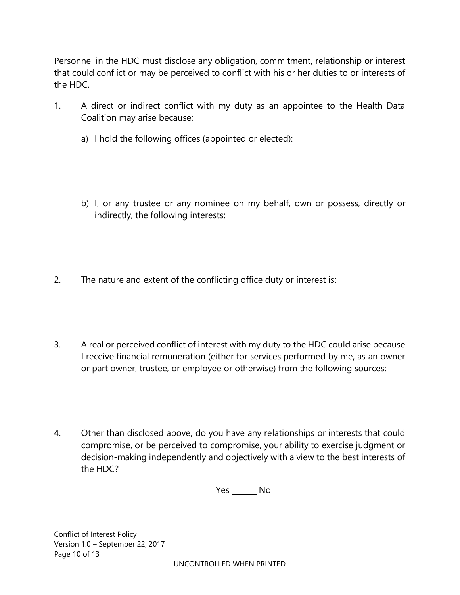Personnel in the HDC must disclose any obligation, commitment, relationship or interest that could conflict or may be perceived to conflict with his or her duties to or interests of the HDC.

- 1. A direct or indirect conflict with my duty as an appointee to the Health Data Coalition may arise because:
	- a) I hold the following offices (appointed or elected):
	- b) I, or any trustee or any nominee on my behalf, own or possess, directly or indirectly, the following interests:
- 2. The nature and extent of the conflicting office duty or interest is:
- 3. A real or perceived conflict of interest with my duty to the HDC could arise because I receive financial remuneration (either for services performed by me, as an owner or part owner, trustee, or employee or otherwise) from the following sources:
- 4. Other than disclosed above, do you have any relationships or interests that could compromise, or be perceived to compromise, your ability to exercise judgment or decision-making independently and objectively with a view to the best interests of the HDC?

Yes \_\_\_\_\_\_\_\_ No

Conflict of Interest Policy Version 1.0 – September 22, 2017 Page 10 of 13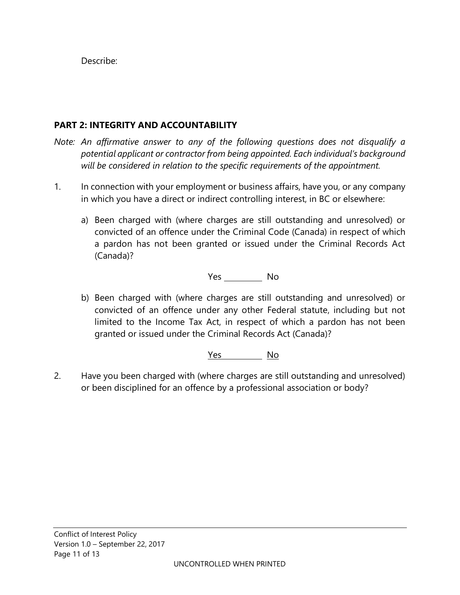Describe:

# **PART 2: INTEGRITY AND ACCOUNTABILITY**

- *Note: An affirmative answer to any of the following questions does not disqualify a potential applicant or contractor from being appointed. Each individual's background will be considered in relation to the specific requirements of the appointment.*
- 1. In connection with your employment or business affairs, have you, or any company in which you have a direct or indirect controlling interest, in BC or elsewhere:
	- a) Been charged with (where charges are still outstanding and unresolved) or convicted of an offence under the Criminal Code (Canada) in respect of which a pardon has not been granted or issued under the Criminal Records Act (Canada)?

Yes No

b) Been charged with (where charges are still outstanding and unresolved) or convicted of an offence under any other Federal statute, including but not limited to the Income Tax Act, in respect of which a pardon has not been granted or issued under the Criminal Records Act (Canada)?

Yes No

2. Have you been charged with (where charges are still outstanding and unresolved) or been disciplined for an offence by a professional association or body?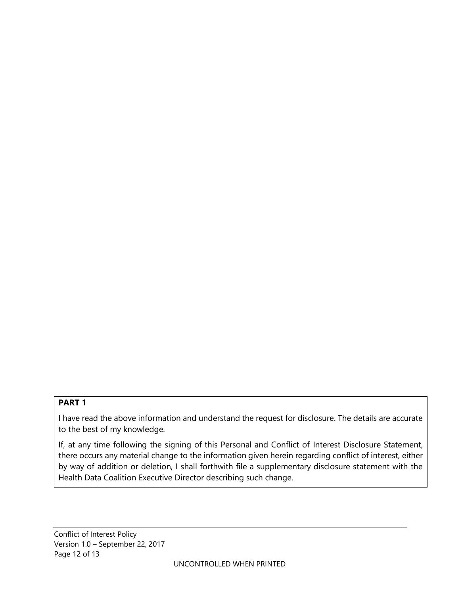#### **PART 1**

I have read the above information and understand the request for disclosure. The details are accurate to the best of my knowledge.

If, at any time following the signing of this Personal and Conflict of Interest Disclosure Statement, there occurs any material change to the information given herein regarding conflict of interest, either by way of addition or deletion, I shall forthwith file a supplementary disclosure statement with the Health Data Coalition Executive Director describing such change.